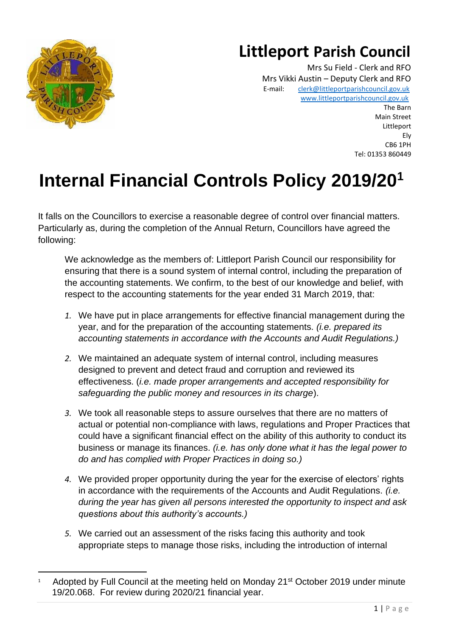

## **Littleport Parish Council**

Mrs Su Field - Clerk and RFO Mrs Vikki Austin – Deputy Clerk and RFO E-mail: [clerk@littleportparishcouncil.gov.uk](mailto:clerk@littleportparishcouncil.gov.uk) www.littleportparishcouncil.gov.u[k](http://www.ststepheninbrannel-pc.org.uk/) The Barn Main Street Littleport Ely CB6 1PH Tel: 01353 860449

# **Internal Financial Controls Policy 2019/20<sup>1</sup>**

It falls on the Councillors to exercise a reasonable degree of control over financial matters. Particularly as, during the completion of the Annual Return, Councillors have agreed the following:

We acknowledge as the members of: Littleport Parish Council our responsibility for ensuring that there is a sound system of internal control, including the preparation of the accounting statements. We confirm, to the best of our knowledge and belief, with respect to the accounting statements for the year ended 31 March 2019, that:

- *1.* We have put in place arrangements for effective financial management during the year, and for the preparation of the accounting statements. *(i.e. prepared its accounting statements in accordance with the Accounts and Audit Regulations.)*
- *2.* We maintained an adequate system of internal control, including measures designed to prevent and detect fraud and corruption and reviewed its effectiveness. (*i.e. made proper arrangements and accepted responsibility for safeguarding the public money and resources in its charge*).
- *3.* We took all reasonable steps to assure ourselves that there are no matters of actual or potential non-compliance with laws, regulations and Proper Practices that could have a significant financial effect on the ability of this authority to conduct its business or manage its finances. *(i.e. has only done what it has the legal power to do and has complied with Proper Practices in doing so.)*
- *4.* We provided proper opportunity during the year for the exercise of electors' rights in accordance with the requirements of the Accounts and Audit Regulations. *(i.e. during the year has given all persons interested the opportunity to inspect and ask questions about this authority's accounts.)*
- *5.* We carried out an assessment of the risks facing this authority and took appropriate steps to manage those risks, including the introduction of internal

<sup>1</sup> Adopted by Full Council at the meeting held on Monday 21<sup>st</sup> October 2019 under minute 19/20.068. For review during 2020/21 financial year.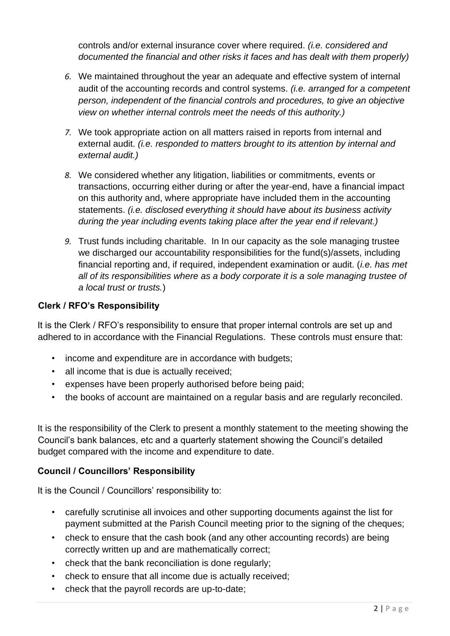controls and/or external insurance cover where required. *(i.e. considered and documented the financial and other risks it faces and has dealt with them properly)*

- *6.* We maintained throughout the year an adequate and effective system of internal audit of the accounting records and control systems. *(i.e. arranged for a competent person, independent of the financial controls and procedures, to give an objective view on whether internal controls meet the needs of this authority.)*
- *7.* We took appropriate action on all matters raised in reports from internal and external audit. *(i.e. responded to matters brought to its attention by internal and external audit.)*
- *8.* We considered whether any litigation, liabilities or commitments, events or transactions, occurring either during or after the year-end, have a financial impact on this authority and, where appropriate have included them in the accounting statements. *(i.e. disclosed everything it should have about its business activity during the year including events taking place after the year end if relevant.)*
- *9.* Trust funds including charitable. In In our capacity as the sole managing trustee we discharged our accountability responsibilities for the fund(s)/assets, including financial reporting and, if required, independent examination or audit. (*i.e. has met all of its responsibilities where as a body corporate it is a sole managing trustee of a local trust or trusts.*)

### **Clerk / RFO's Responsibility**

It is the Clerk / RFO's responsibility to ensure that proper internal controls are set up and adhered to in accordance with the Financial Regulations. These controls must ensure that:

- income and expenditure are in accordance with budgets;
- all income that is due is actually received;
- expenses have been properly authorised before being paid;
- the books of account are maintained on a regular basis and are regularly reconciled.

It is the responsibility of the Clerk to present a monthly statement to the meeting showing the Council's bank balances, etc and a quarterly statement showing the Council's detailed budget compared with the income and expenditure to date.

#### **Council / Councillors' Responsibility**

It is the Council / Councillors' responsibility to:

- carefully scrutinise all invoices and other supporting documents against the list for payment submitted at the Parish Council meeting prior to the signing of the cheques;
- check to ensure that the cash book (and any other accounting records) are being correctly written up and are mathematically correct;
- check that the bank reconciliation is done regularly;
- check to ensure that all income due is actually received;
- check that the payroll records are up-to-date;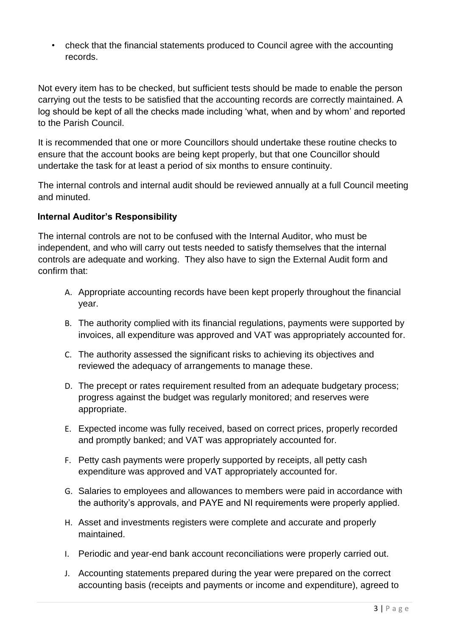• check that the financial statements produced to Council agree with the accounting records.

Not every item has to be checked, but sufficient tests should be made to enable the person carrying out the tests to be satisfied that the accounting records are correctly maintained. A log should be kept of all the checks made including 'what, when and by whom' and reported to the Parish Council.

It is recommended that one or more Councillors should undertake these routine checks to ensure that the account books are being kept properly, but that one Councillor should undertake the task for at least a period of six months to ensure continuity.

The internal controls and internal audit should be reviewed annually at a full Council meeting and minuted.

### **Internal Auditor's Responsibility**

The internal controls are not to be confused with the Internal Auditor, who must be independent, and who will carry out tests needed to satisfy themselves that the internal controls are adequate and working. They also have to sign the External Audit form and confirm that:

- A. Appropriate accounting records have been kept properly throughout the financial year.
- B. The authority complied with its financial regulations, payments were supported by invoices, all expenditure was approved and VAT was appropriately accounted for.
- C. The authority assessed the significant risks to achieving its objectives and reviewed the adequacy of arrangements to manage these.
- D. The precept or rates requirement resulted from an adequate budgetary process; progress against the budget was regularly monitored; and reserves were appropriate.
- E. Expected income was fully received, based on correct prices, properly recorded and promptly banked; and VAT was appropriately accounted for.
- F. Petty cash payments were properly supported by receipts, all petty cash expenditure was approved and VAT appropriately accounted for.
- G. Salaries to employees and allowances to members were paid in accordance with the authority's approvals, and PAYE and NI requirements were properly applied.
- H. Asset and investments registers were complete and accurate and properly maintained.
- I. Periodic and year-end bank account reconciliations were properly carried out.
- J. Accounting statements prepared during the year were prepared on the correct accounting basis (receipts and payments or income and expenditure), agreed to